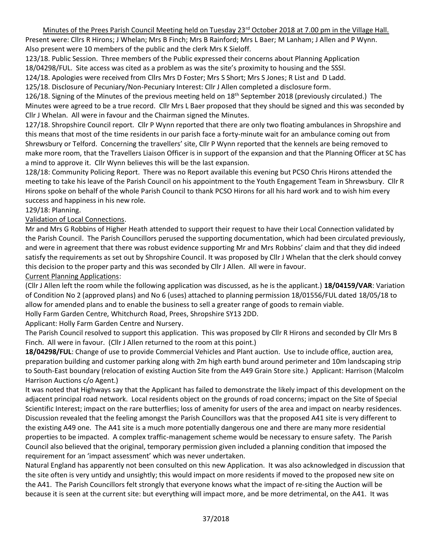## Minutes of the Prees Parish Council Meeting held on Tuesday 23<sup>rd</sup> October 2018 at 7.00 pm in the Village Hall.

Present were: Cllrs R Hirons; J Whelan; Mrs B Finch; Mrs B Rainford; Mrs L Baer; M Lanham; J Allen and P Wynn. Also present were 10 members of the public and the clerk Mrs K Sieloff.

123/18. Public Session. Three members of the Public expressed their concerns about Planning Application

18/04298/FUL. Site access was cited as a problem as was the site's proximity to housing and the SSSI. 124/18. Apologies were received from Cllrs Mrs D Foster; Mrs S Short; Mrs S Jones; R List and D Ladd.

125/18. Disclosure of Pecuniary/Non-Pecuniary Interest: Cllr J Allen completed a disclosure form.

126/18. Signing of the Minutes of the previous meeting held on 18<sup>th</sup> September 2018 (previously circulated.) The Minutes were agreed to be a true record. Cllr Mrs L Baer proposed that they should be signed and this was seconded by Cllr J Whelan. All were in favour and the Chairman signed the Minutes.

127/18. Shropshire Council report. Cllr P Wynn reported that there are only two floating ambulances in Shropshire and this means that most of the time residents in our parish face a forty-minute wait for an ambulance coming out from Shrewsbury or Telford. Concerning the travellers' site, Cllr P Wynn reported that the kennels are being removed to make more room, that the Travellers Liaison Officer is in support of the expansion and that the Planning Officer at SC has a mind to approve it. Cllr Wynn believes this will be the last expansion.

128/18: Community Policing Report. There was no Report available this evening but PCSO Chris Hirons attended the meeting to take his leave of the Parish Council on his appointment to the Youth Engagement Team in Shrewsbury. Cllr R Hirons spoke on behalf of the whole Parish Council to thank PCSO Hirons for all his hard work and to wish him every success and happiness in his new role.

#### 129/18: Planning.

## Validation of Local Connections.

Mr and Mrs G Robbins of Higher Heath attended to support their request to have their Local Connection validated by the Parish Council. The Parish Councillors perused the supporting documentation, which had been circulated previously, and were in agreement that there was robust evidence supporting Mr and Mrs Robbins' claim and that they did indeed satisfy the requirements as set out by Shropshire Council. It was proposed by Cllr J Whelan that the clerk should convey this decision to the proper party and this was seconded by Cllr J Allen. All were in favour.

#### Current Planning Applications:

(Cllr J Allen left the room while the following application was discussed, as he is the applicant.) **18/04159/VAR**: Variation of Condition No 2 (approved plans) and No 6 (uses) attached to planning permission 18/01556/FUL dated 18/05/18 to allow for amended plans and to enable the business to sell a greater range of goods to remain viable.

Holly Farm Garden Centre, Whitchurch Road, Prees, Shropshire SY13 2DD.

Applicant: Holly Farm Garden Centre and Nursery.

The Parish Council resolved to support this application. This was proposed by Cllr R Hirons and seconded by Cllr Mrs B Finch. All were in favour. (Cllr J Allen returned to the room at this point.)

**18/04298/FUL**: Change of use to provide Commercial Vehicles and Plant auction. Use to include office, auction area, preparation building and customer parking along with 2m high earth bund around perimeter and 10m landscaping strip to South-East boundary (relocation of existing Auction Site from the A49 Grain Store site.) Applicant: Harrison (Malcolm Harrison Auctions c/o Agent.)

It was noted that Highways say that the Applicant has failed to demonstrate the likely impact of this development on the adjacent principal road network. Local residents object on the grounds of road concerns; impact on the Site of Special Scientific Interest; impact on the rare butterflies; loss of amenity for users of the area and impact on nearby residences. Discussion revealed that the feeling amongst the Parish Councillors was that the proposed A41 site is very different to the existing A49 one. The A41 site is a much more potentially dangerous one and there are many more residential properties to be impacted. A complex traffic-management scheme would be necessary to ensure safety. The Parish Council also believed that the original, temporary permission given included a planning condition that imposed the requirement for an 'impact assessment' which was never undertaken.

Natural England has apparently not been consulted on this new Application. It was also acknowledged in discussion that the site often is very untidy and unsightly; this would impact on more residents if moved to the proposed new site on the A41. The Parish Councillors felt strongly that everyone knows what the impact of re-siting the Auction will be because it is seen at the current site: but everything will impact more, and be more detrimental, on the A41. It was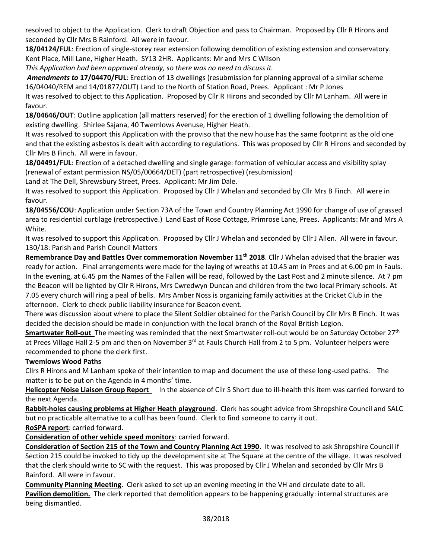resolved to object to the Application. Clerk to draft Objection and pass to Chairman. Proposed by Cllr R Hirons and seconded by Cllr Mrs B Rainford. All were in favour.

**18/04124/FUL**: Erection of single-storey rear extension following demolition of existing extension and conservatory. Kent Place, Mill Lane, Higher Heath. SY13 2HR. Applicants: Mr and Mrs C Wilson

*This Application had been approved already, so there was no need to discuss it.*

*Amendments to* **17/04470/FUL**: Erection of 13 dwellings (resubmission for planning approval of a similar scheme 16/04040/REM and 14/01877/OUT) Land to the North of Station Road, Prees. Applicant : Mr P Jones

It was resolved to object to this Application. Proposed by Cllr R Hirons and seconded by Cllr M Lanham. All were in favour.

**18/04646/OUT**: Outline application (all matters reserved) for the erection of 1 dwelling following the demolition of existing dwelling. Shirlee Sajana, 40 Twemlows Avenuse, Higher Heath.

It was resolved to support this Application with the proviso that the new house has the same footprint as the old one and that the existing asbestos is dealt with according to regulations. This was proposed by Cllr R Hirons and seconded by Cllr Mrs B Finch. All were in favour.

**18/04491/FUL**: Erection of a detached dwelling and single garage: formation of vehicular access and visibility splay (renewal of extant permission NS/05/00664/DET) (part retrospective) (resubmission)

Land at The Dell, Shrewsbury Street, Prees. Applicant: Mr Jim Dale.

It was resolved to support this Application. Proposed by Cllr J Whelan and seconded by Cllr Mrs B Finch. All were in favour.

**18/04556/COU**: Application under Section 73A of the Town and Country Planning Act 1990 for change of use of grassed area to residential curtilage (retrospective.) Land East of Rose Cottage, Primrose Lane, Prees. Applicants: Mr and Mrs A White.

It was resolved to support this Application. Proposed by Cllr J Whelan and seconded by Cllr J Allen. All were in favour. 130/18: Parish and Parish Council Matters

**Remembrance Day and Battles Over commemoration November 11th 2018**. Cllr J Whelan advised that the brazier was ready for action. Final arrangements were made for the laying of wreaths at 10.45 am in Prees and at 6.00 pm in Fauls. In the evening, at 6.45 pm the Names of the Fallen will be read, followed by the Last Post and 2 minute silence. At 7 pm the Beacon will be lighted by Cllr R Hirons, Mrs Cwredwyn Duncan and children from the two local Primary schools. At 7.05 every church will ring a peal of bells. Mrs Amber Noss is organizing family activities at the Cricket Club in the afternoon. Clerk to check public liability insurance for Beacon event.

There was discussion about where to place the Silent Soldier obtained for the Parish Council by Cllr Mrs B Finch. It was decided the decision should be made in conjunction with the local branch of the Royal British Legion.

**Smartwater Roll-out** The meeting was reminded that the next Smartwater roll-out would be on Saturday October 27th at Prees Village Hall 2-5 pm and then on November 3<sup>rd</sup> at Fauls Church Hall from 2 to 5 pm. Volunteer helpers were recommended to phone the clerk first.

# **Twemlows Wood Paths**

Cllrs R Hirons and M Lanham spoke of their intention to map and document the use of these long-used paths. The matter is to be put on the Agenda in 4 months' time.

**Helicopter Noise Liaison Group Report** In the absence of Cllr S Short due to ill-health this item was carried forward to the next Agenda.

**Rabbit-holes causing problems at Higher Heath playground**. Clerk has sought advice from Shropshire Council and SALC but no practicable alternative to a cull has been found. Clerk to find someone to carry it out.

**RoSPA report**: carried forward.

**Consideration of other vehicle speed monitors**: carried forward.

**Consideration of Section 215 of the Town and Country Planning Act 1990**. It was resolved to ask Shropshire Council if Section 215 could be invoked to tidy up the development site at The Square at the centre of the village. It was resolved that the clerk should write to SC with the request. This was proposed by Cllr J Whelan and seconded by Cllr Mrs B Rainford. All were in favour.

**Community Planning Meeting**. Clerk asked to set up an evening meeting in the VH and circulate date to all.

Pavilion demolition. The clerk reported that demolition appears to be happening gradually: internal structures are being dismantled.